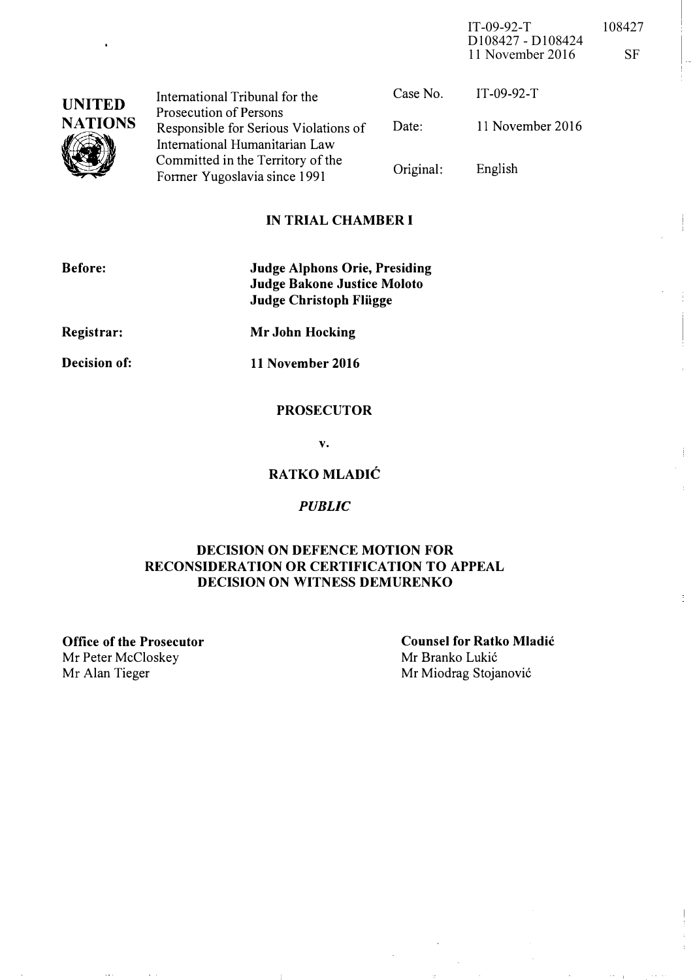IT-09-92-T 108427 D108427 - D108424 11 November 2016 SF

 $\overline{\phantom{a}}$ 

 $\vert$ .

 $\bar{\mathcal{A}}$ 

| <b>UNITED</b><br><b>NATIONS</b> | International Tribunal for the                                    | Case No.  | $IT-09-92-T$     |
|---------------------------------|-------------------------------------------------------------------|-----------|------------------|
|                                 | Prosecution of Persons<br>Responsible for Serious Violations of   | Date:     | 11 November 2016 |
|                                 | International Humanitarian Law                                    |           |                  |
|                                 | Committed in the Territory of the<br>Former Yugoslavia since 1991 | Original: | English          |

#### IN TRIAL CHAMBER I

| <b>Before:</b>      | <b>Judge Alphons Orie, Presiding</b><br><b>Judge Bakone Justice Moloto</b><br><b>Judge Christoph Flügge</b> |
|---------------------|-------------------------------------------------------------------------------------------------------------|
| Registrar:          | Mr John Hocking                                                                                             |
| <b>Decision of:</b> | 11 November 2016                                                                                            |

#### PROSECUTOR

v.

### RATKO MLADIC

#### **PUBLIC**

#### DECISION ON DEFENCE MOTION FOR RECONSIDERATION OR CERTIFICATION TO APPEAL DECISION ON WITNESS DEMURENKO

Office of the Prosecutor Mr Peter McCloskey<br>Mr Alan Tieger

Counsel for Ratko Mladic Mr Branko Lukić Mr Miodrag Stojanović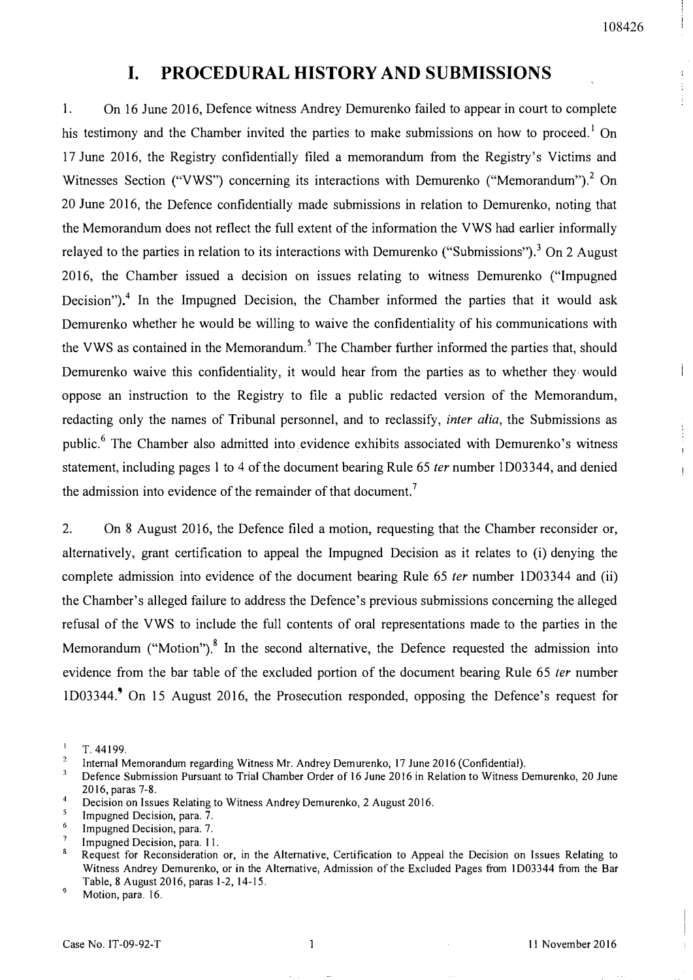$\cdot \}$ ÷

 $\mathsf{I}$ 

 $\mathbf{I}$  $\overline{1}$ 

## I. PROCEDURAL HISTORY AND SUBMISSIONS

I. On 16 June 2016, Defence witness Andrey Demurenko failed to appear in court to complete his testimony and the Chamber invited the parties to make submissions on how to proceed.<sup>1</sup> On 17 June 2016, the Registry confidentially filed a memorandum from the Registry's Victims and Witnesses Section ("VWS") concerning its interactions with Demurenko ("Memorandum").<sup>2</sup> On 20 June 2016, the Defence confidentially made submissions in relation to Demurenko, noting that the Memorandum does not reflect the full extent of the information the VWS had earlier informally relayed to the parties in relation to its interactions with Demurenko ("Submissions").<sup>3</sup> On 2 August 2016, the Chamber issued a decision on issues relating to witness Demurenko ("Impugned Decision")<sup>4</sup> In the Impugned Decision, the Chamber informed the parties that it would ask Demurenko whether he would be willing to waive the confidentiality of his communications with the VWS as contained in the Memorandum.<sup>5</sup> The Chamber further informed the parties that, should Demurenko waive this confidentiality, it would hear from the parties as to whether they· would oppose an instruction to the Registry to file a public redacted version of the Memorandum, redacting only the names of Tribunal personnel, and to reclassify, *inter alia*, the Submissions as public.<sup>6</sup> The Chamber also admitted into evidence exhibits associated with Demurenko's witness statement, including pages I to 4 of the document bearing Rule 65 ter number ID03344, and denied the admission into evidence of the remainder of that document.<sup>7</sup>

2. On 8 August 2016, the Defence filed a motion, requesting that the Chamber reconsider or, alternatively, grant certification to appeal the Impugned Decision as it relates to (i) denying the complete admission into evidence of the document bearing Rule 65 ter number 1D03344 and (ii) the Chamber's alleged failure to address the Defence's previous submissions concerning the alleged refusal of the VWS to include the full contents of oral representations made to the parties in the Memorandum ("Motion").<sup>8</sup> In the second alternative, the Defence requested the admission into evidence from the bar table of the excluded portion of the document bearing Rule 65 ter number ID03344.9 On 15 August 2016, the Prosecution responded, opposing the Defence's request for

- Decision on Issues Relating to Witness Andrey Demurenko, 2 August 2016.
- 5 Impugned Decision, para. 7.
- 6 Impugned Decision, para. 7.
- Impugned Decision, para. 11.

 $\mathbf{I}$ T.44199.

 $\overline{2}$ Internal Memorandum regarding Witness Mr. Andrey Demurenko, 17 June 2016 (Confidential).

<sup>3</sup> Defence Submission Pursuant to Trial Chamber Order of 16 June 2016 in Relation to Witness Demurenko, 20 June 2016, paras 7-8.  $\overline{4}$ 

 $\bar{\mathbf{x}}$ Request for Reconsideration or, in the Alternative, Certification to Appeal the Decision on Issues Relating to Witness Andrey Demurenko, or in the Alternative, Admission of the Excluded Pages from 1D03344 from the Bar Table, 8 August 2016, paras 1-2, 14-15.

<sup>9</sup>  Motion, para. 16.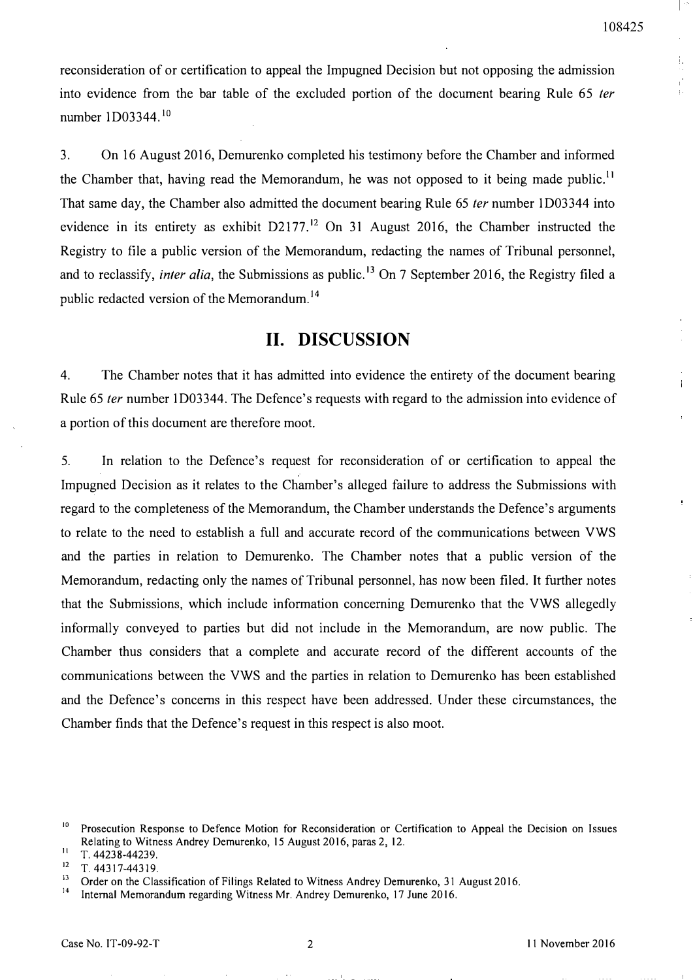Ţ,  $\mathbf{r}^{\prime}$ 

Ť.

reconsideration of or certification to appeal the Impugned Decision but not opposing the admission into evidence from the bar table of the excluded portion of the document bearing Rule 65 ter number 1D03344.<sup>10</sup>

3. On 16 August 2016, Demurenko completed his testimony before the Chamber and informed the Chamber that, having read the Memorandum, he was not opposed to it being made public.<sup>11</sup> That same day, the Chamber also admitted the document bearing Rule 65 *ter* number 1D03344 into evidence in its entirety as exhibit  $D2177$ <sup>12</sup> On 31 August 2016, the Chamber instructed the Registry to file a public version of the Memorandum, redacting the names of Tribunal personnel, and to reclassify, *inter alia*, the Submissions as public.<sup>13</sup> On 7 September 2016, the Registry filed a public redacted version of the Memorandum.<sup>14</sup>

## 11. DISCUSSION

4. The Chamber notes that it has admitted into evidence the entirety of the document bearing Rule 65 fer number ID03344. The Defence's requests with regard to the admission into evidence of a portion of this document are therefore moot.

5. In relation to the Defence's request for reconsideration of or certification to appeal the Impugned Decision as it relates to the Chamber's alleged failure to address the Submissions with regard to the completeness of the Memorandum, the Chamber understands the Defence's arguments to relate to the need to establish a full and accurate record of the communications between VWS and the parties in relation to Demurenko. The Chamber notes that a public version of the Memorandum, redacting only the names of Tribunal personnel, has now been filed. It further notes that the Submissions, which include information concerning Demurenko that the VWS allegedly informally conveyed to parties but did not include in the Memorandum, are now public. The Chamber thus considers that a complete and accurate record of the different accounts of the communications between the VWS and the parties in relation to Demurenko has been established and the Defence's concerns in this respect have been addressed. Under these circumstances, the Chamber finds that the Defence's request in this respect is also moot.

<sup>&</sup>lt;sup>10</sup> Prosecution Response to Defence Motion for Reconsideration or Certification to Appeal the Decision on Issues Relating to Witness Andrey Demurenko, 15 August 2016, paras 2,12.

 $11$  T. 44238-44239.

 $12$  T. 44317-44319.

<sup>&</sup>lt;sup>13</sup> Order on the Classification of Filings Related to Witness Andrey Demurenko, 31 August 2016.

<sup>14</sup>Internal Memorandum regarding Witness Mr. Andrey Demurenko, 17 June 2016.